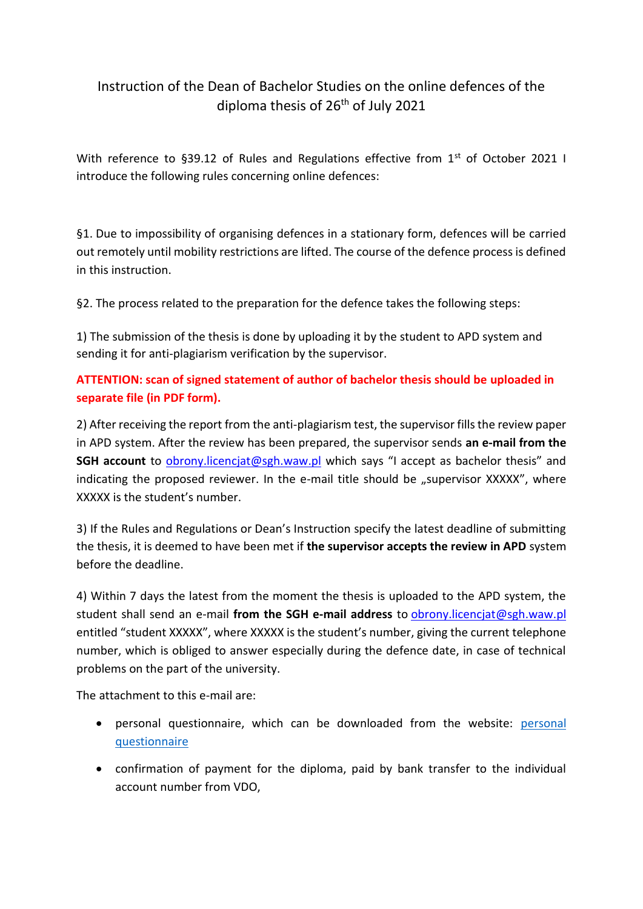## Instruction of the Dean of Bachelor Studies on the online defences of the diploma thesis of 26<sup>th</sup> of July 2021

With reference to §39.12 of Rules and Regulations effective from 1<sup>st</sup> of October 2021 I introduce the following rules concerning online defences:

§1. Due to impossibility of organising defences in a stationary form, defences will be carried out remotely until mobility restrictions are lifted. The course of the defence process is defined in this instruction.

§2. The process related to the preparation for the defence takes the following steps:

1) The submission of the thesis is done by uploading it by the student to APD system and sending it for anti-plagiarism verification by the supervisor.

## **ATTENTION: scan of signed statement of author of bachelor thesis should be uploaded in separate file (in PDF form).**

2) After receiving the report from the anti-plagiarism test, the supervisor fills the review paper in APD system. After the review has been prepared, the supervisor sends **an e-mail from the SGH account** to [obrony.licencjat@sgh.waw.pl](mailto:obrony.licencjat@sgh.waw.pl) which says "I accept as bachelor thesis" and indicating the proposed reviewer. In the e-mail title should be "supervisor XXXXX", where XXXXX is the student's number.

3) If the Rules and Regulations or Dean's Instruction specify the latest deadline of submitting the thesis, it is deemed to have been met if **the supervisor accepts the review in APD** system before the deadline.

4) Within 7 days the latest from the moment the thesis is uploaded to the APD system, the student shall send an e-mail **from the SGH e-mail address** to [obrony.licencjat@sgh.waw.pl](mailto:obrony.licencjat@sgh.waw.pl)  entitled "student XXXXX", where XXXXX is the student's number, giving the current telephone number, which is obliged to answer especially during the defence date, in case of technical problems on the part of the university.

The attachment to this e-mail are:

- [personal](https://ssl-administracja.sgh.waw.pl/en/dsl/thesis/standard/Documents/Ankieta%202020%20ANG+o%C5%9Bwiadczenie.docx) questionnaire, which can be downloaded from the website: personal [questionnaire](https://ssl-administracja.sgh.waw.pl/en/dsl/thesis/standard/Documents/Ankieta%202020%20ANG+o%C5%9Bwiadczenie.docx)
- confirmation of payment for the diploma, paid by bank transfer to the individual account number from VDO,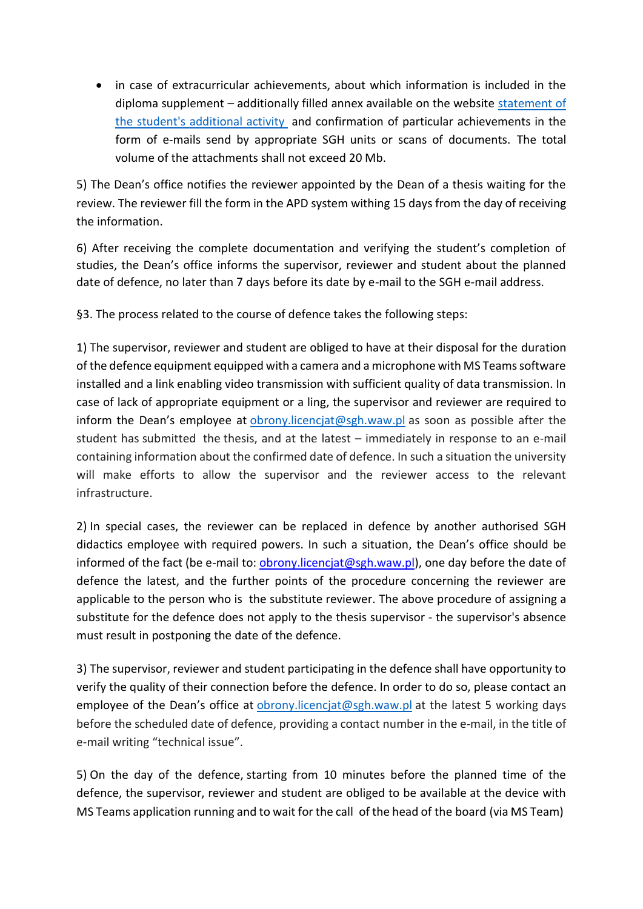• in case of extracurricular achievements, about which information is included in the diploma supplement – additionally filled annex available on the website [statement of](https://ssl-administracja.sgh.waw.pl/en/dsl/thesis/Documents/Dzia%C5%82alno%C5%9B%C4%87%20dodatkowa_ZR_11_24.02.2021_ANG_CWM.doc)  [the student's additional activity](https://ssl-administracja.sgh.waw.pl/en/dsl/thesis/Documents/Dzia%C5%82alno%C5%9B%C4%87%20dodatkowa_ZR_11_24.02.2021_ANG_CWM.doc) and confirmation of particular achievements in the form of e-mails send by appropriate SGH units or scans of documents. The total volume of the attachments shall not exceed 20 Mb.

5) The Dean's office notifies the reviewer appointed by the Dean of a thesis waiting for the review. The reviewer fill the form in the APD system withing 15 days from the day of receiving the information.

6) After receiving the complete documentation and verifying the student's completion of studies, the Dean's office informs the supervisor, reviewer and student about the planned date of defence, no later than 7 days before its date by e-mail to the SGH e-mail address.

§3. The process related to the course of defence takes the following steps:

1) The supervisor, reviewer and student are obliged to have at their disposal for the duration of the defence equipment equipped with a camera and a microphone with MS Teams software installed and a link enabling video transmission with sufficient quality of data transmission. In case of lack of appropriate equipment or a ling, the supervisor and reviewer are required to inform the Dean's employee at [obrony.licencjat@sgh.waw.pl](mailto:obrony.licencjat@sgh.waw.pl) as soon as possible after the student has submitted the thesis, and at the latest – immediately in response to an e-mail containing information about the confirmed date of defence. In such a situation the university will make efforts to allow the supervisor and the reviewer access to the relevant infrastructure.

2) In special cases, the reviewer can be replaced in defence by another authorised SGH didactics employee with required powers. In such a situation, the Dean's office should be informed of the fact (be e-mail to: [obrony.licencjat@sgh.waw.pl\)](mailto:obrony.licencjat@sgh.waw.pl), one day before the date of defence the latest, and the further points of the procedure concerning the reviewer are applicable to the person who is the substitute reviewer. The above procedure of assigning a substitute for the defence does not apply to the thesis supervisor - the supervisor's absence must result in postponing the date of the defence.

3) The supervisor, reviewer and student participating in the defence shall have opportunity to verify the quality of their connection before the defence. In order to do so, please contact an employee of the Dean's office at [obrony.licencjat@sgh.waw.pl](mailto:obrony.licencjat@sgh.waw.pl) at the latest 5 working days before the scheduled date of defence, providing a contact number in the e-mail, in the title of e-mail writing "technical issue".

5) On the day of the defence, starting from 10 minutes before the planned time of the defence, the supervisor, reviewer and student are obliged to be available at the device with MS Teams application running and to wait for the call of the head of the board (via MS Team)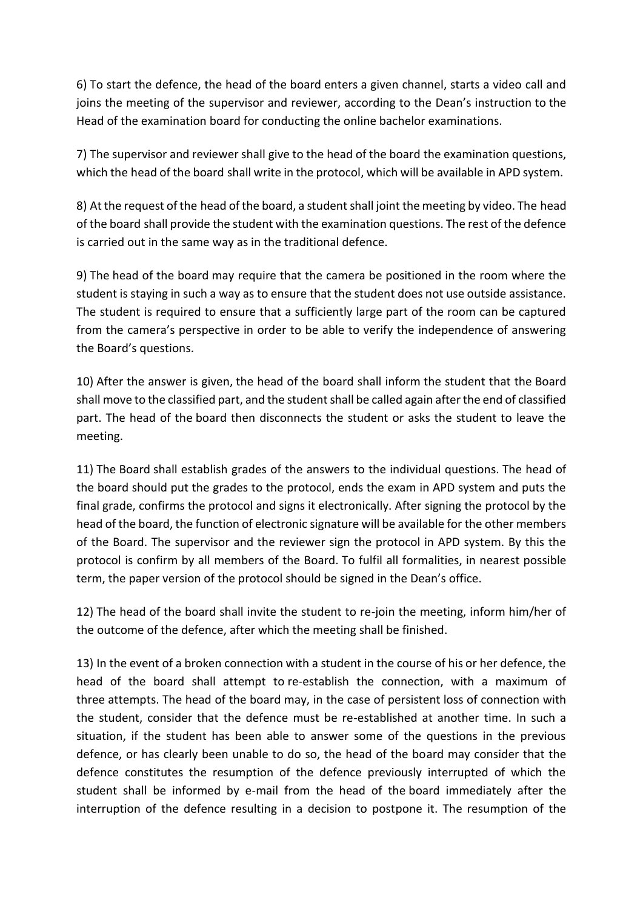6) To start the defence, the head of the board enters a given channel, starts a video call and joins the meeting of the supervisor and reviewer, according to the Dean's instruction to the Head of the examination board for conducting the online bachelor examinations.

7) The supervisor and reviewer shall give to the head of the board the examination questions, which the head of the board shall write in the protocol, which will be available in APD system.

8) At the request of the head of the board, a student shall joint the meeting by video. The head of the board shall provide the student with the examination questions. The rest of the defence is carried out in the same way as in the traditional defence.

9) The head of the board may require that the camera be positioned in the room where the student is staying in such a way as to ensure that the student does not use outside assistance. The student is required to ensure that a sufficiently large part of the room can be captured from the camera's perspective in order to be able to verify the independence of answering the Board's questions.

10) After the answer is given, the head of the board shall inform the student that the Board shall move to the classified part, and the student shall be called again after the end of classified part. The head of the board then disconnects the student or asks the student to leave the meeting.

11) The Board shall establish grades of the answers to the individual questions. The head of the board should put the grades to the protocol, ends the exam in APD system and puts the final grade, confirms the protocol and signs it electronically. After signing the protocol by the head of the board, the function of electronic signature will be available for the other members of the Board. The supervisor and the reviewer sign the protocol in APD system. By this the protocol is confirm by all members of the Board. To fulfil all formalities, in nearest possible term, the paper version of the protocol should be signed in the Dean's office.

12) The head of the board shall invite the student to re-join the meeting, inform him/her of the outcome of the defence, after which the meeting shall be finished.

13) In the event of a broken connection with a student in the course of his or her defence, the head of the board shall attempt to re-establish the connection, with a maximum of three attempts. The head of the board may, in the case of persistent loss of connection with the student, consider that the defence must be re-established at another time. In such a situation, if the student has been able to answer some of the questions in the previous defence, or has clearly been unable to do so, the head of the board may consider that the defence constitutes the resumption of the defence previously interrupted of which the student shall be informed by e-mail from the head of the board immediately after the interruption of the defence resulting in a decision to postpone it. The resumption of the